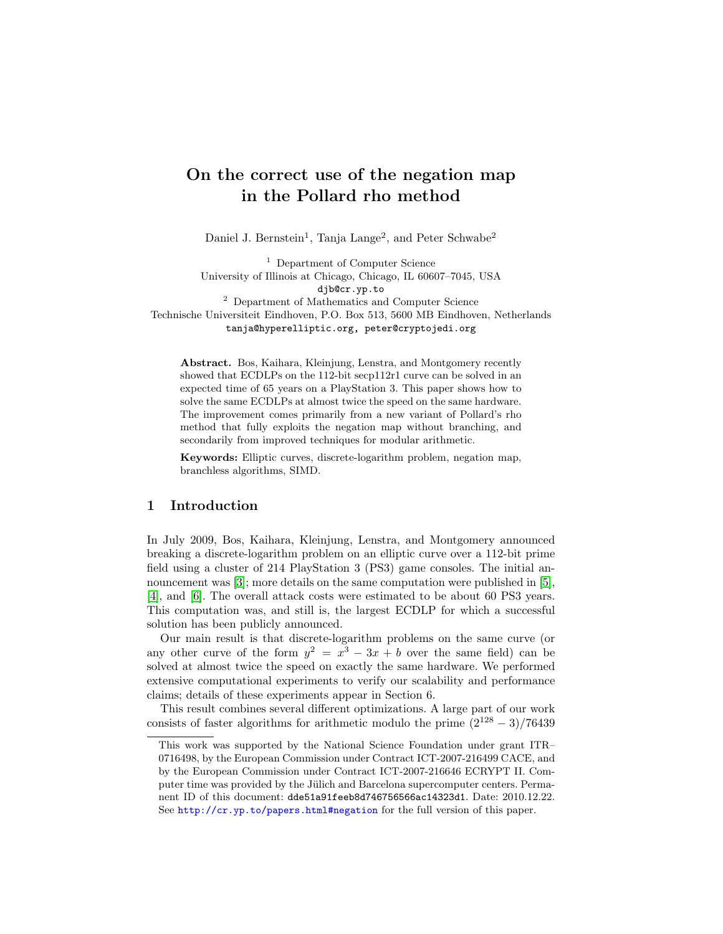# On the correct use of the negation map in the Pollard rho method

Daniel J. Bernstein<sup>1</sup>, Tanja Lange<sup>2</sup>, and Peter Schwabe<sup>2</sup>

<sup>1</sup> Department of Computer Science University of Illinois at Chicago, Chicago, IL 60607–7045, USA djb@cr.yp.to <sup>2</sup> Department of Mathematics and Computer Science Technische Universiteit Eindhoven, P.O. Box 513, 5600 MB Eindhoven, Netherlands tanja@hyperelliptic.org, peter@cryptojedi.org

Abstract. Bos, Kaihara, Kleinjung, Lenstra, and Montgomery recently showed that ECDLPs on the 112-bit secp112r1 curve can be solved in an expected time of 65 years on a PlayStation 3. This paper shows how to solve the same ECDLPs at almost twice the speed on the same hardware. The improvement comes primarily from a new variant of Pollard's rho method that fully exploits the negation map without branching, and secondarily from improved techniques for modular arithmetic.

<span id="page-0-2"></span>Keywords: Elliptic curves, discrete-logarithm problem, negation map, branchless algorithms, SIMD.

## 1 Introduction

<span id="page-0-0"></span>In July 2009, Bos, Kaihara, Kleinjung, Lenstra, and Montgomery announced breaking a discrete-logarithm problem on an elliptic curve over a 112-bit prime field using a cluster of 214 PlayStation 3 (PS3) game consoles. The initial an-nouncement was [\[3\]](#page-17-0); more details on the same computation were published in [\[5\]](#page-17-1), [\[4\]](#page-17-2), and [\[6\]](#page-17-3). The overall attack costs were estimated to be about 60 PS3 years. This computation was, and still is, the largest ECDLP for which a successful solution has been publicly announced.

<span id="page-0-3"></span><span id="page-0-1"></span>Our main result is that discrete-logarithm problems on the same curve (or any other curve of the form  $y^2 = x^3 - 3x + b$  over the same field) can be solved at almost twice the speed on exactly the same hardware. We performed extensive computational experiments to verify our scalability and performance claims; details of these experiments appear in Section 6.

This result combines several different optimizations. A large part of our work consists of faster algorithms for arithmetic modulo the prime  $(2^{128} – 3)/76439$ 

This work was supported by the National Science Foundation under grant ITR– 0716498, by the European Commission under Contract ICT-2007-216499 CACE, and by the European Commission under Contract ICT-2007-216646 ECRYPT II. Computer time was provided by the Jülich and Barcelona supercomputer centers. Permanent ID of this document: dde51a91feeb8d746756566ac14323d1. Date: 2010.12.22. See <http://cr.yp.to/papers.html#negation> for the full version of this paper.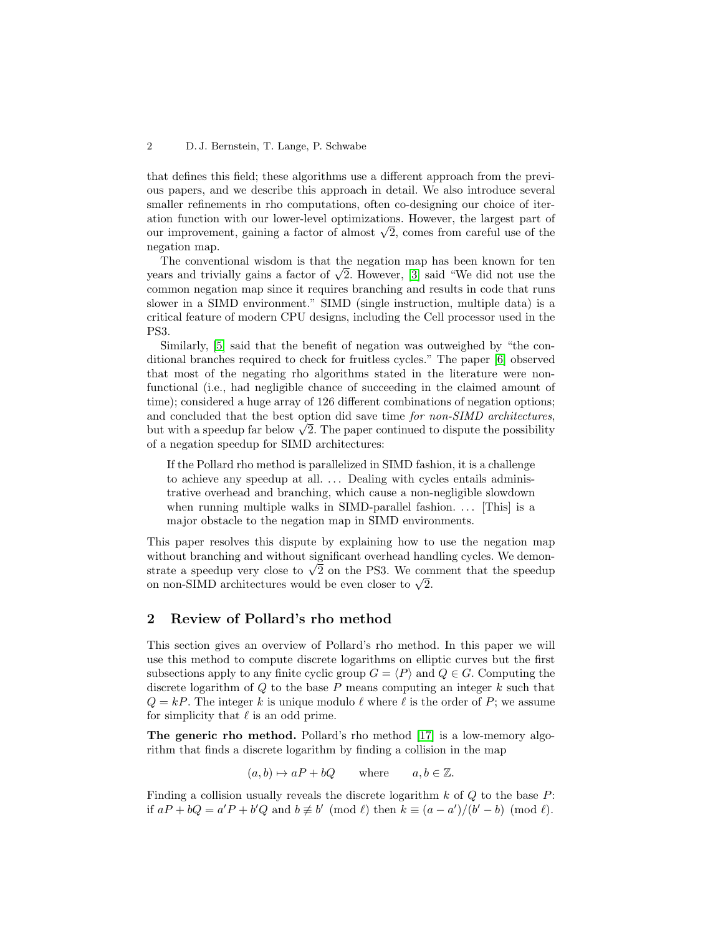that defines this field; these algorithms use a different approach from the previous papers, and we describe this approach in detail. We also introduce several smaller refinements in rho computations, often co-designing our choice of iteration function with our lower-level optimizations. However, the largest part of ation function with our lower-level optimizations. However, the largest part of our improvement, gaining a factor of almost  $\sqrt{2}$ , comes from careful use of the negation map.

<span id="page-1-0"></span>The conventional wisdom is that the negation map has been known for ten The conventional wisdom is that the negation map has been known for ten<br>years and trivially gains a factor of  $\sqrt{2}$ . However, [\[3\]](#page-17-0) said "We did not use the common negation map since it requires branching and results in code that runs slower in a SIMD environment." SIMD (single instruction, multiple data) is a critical feature of modern CPU designs, including the Cell processor used in the PS3.

<span id="page-1-1"></span>Similarly, [\[5\]](#page-17-1) said that the benefit of negation was outweighed by "the conditional branches required to check for fruitless cycles." The paper [\[6\]](#page-17-3) observed that most of the negating rho algorithms stated in the literature were nonfunctional (i.e., had negligible chance of succeeding in the claimed amount of time); considered a huge array of 126 different combinations of negation options; and concluded that the best option did save time for non-SIMD architectures, and concluded that the best option did save time *for non-SIMD* architectures,<br>but with a speedup far below  $\sqrt{2}$ . The paper continued to dispute the possibility of a negation speedup for SIMD architectures:

<span id="page-1-2"></span>If the Pollard rho method is parallelized in SIMD fashion, it is a challenge to achieve any speedup at all. ... Dealing with cycles entails administrative overhead and branching, which cause a non-negligible slowdown when running multiple walks in SIMD-parallel fashion.  $\ldots$  [This] is a major obstacle to the negation map in SIMD environments.

This paper resolves this dispute by explaining how to use the negation map without branching and without significant overhead handling cycles. We demonwithout branching and without significant overhead nandling cycles. We demonstrate a speedup very close to  $\sqrt{2}$  on the PS3. We comment that the speedup strate a speedup very close to  $\sqrt{2}$  on the PS3. We com<br>on non-SIMD architectures would be even closer to  $\sqrt{2}$ .

## 2 Review of Pollard's rho method

This section gives an overview of Pollard's rho method. In this paper we will use this method to compute discrete logarithms on elliptic curves but the first subsections apply to any finite cyclic group  $G = \langle P \rangle$  and  $Q \in G$ . Computing the discrete logarithm of  $Q$  to the base  $P$  means computing an integer  $k$  such that  $Q = kP$ . The integer k is unique modulo  $\ell$  where  $\ell$  is the order of P; we assume for simplicity that  $\ell$  is an odd prime.

The generic rho method. Pollard's rho method [\[17\]](#page-18-0) is a low-memory algorithm that finds a discrete logarithm by finding a collision in the map

<span id="page-1-3"></span> $(a, b) \mapsto aP + bQ$  where  $a, b \in \mathbb{Z}$ .

Finding a collision usually reveals the discrete logarithm  $k$  of  $Q$  to the base  $P$ : if  $aP + bQ = a'P + b'Q$  and  $b \not\equiv b' \pmod{\ell}$  then  $k \equiv (a - a')/(b' - b) \pmod{\ell}$ .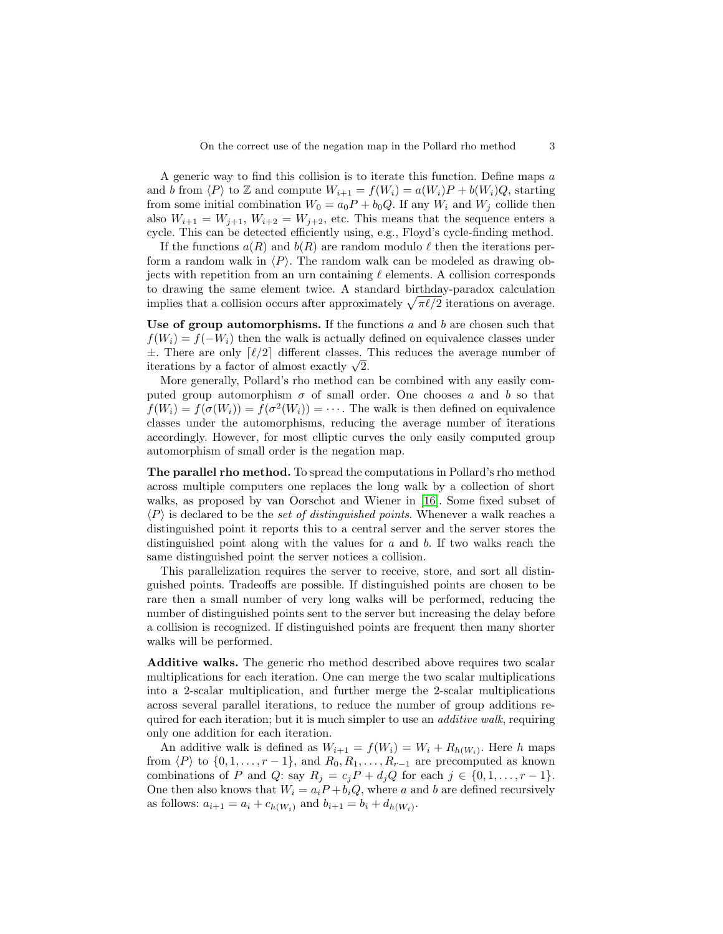A generic way to find this collision is to iterate this function. Define maps a and b from  $\langle P \rangle$  to Z and compute  $W_{i+1} = f(W_i) = a(W_i)P + b(W_i)Q$ , starting from some initial combination  $W_0 = a_0 P + b_0 Q$ . If any  $W_i$  and  $W_j$  collide then also  $W_{i+1} = W_{j+1}, W_{i+2} = W_{j+2}$ , etc. This means that the sequence enters a cycle. This can be detected efficiently using, e.g., Floyd's cycle-finding method.

If the functions  $a(R)$  and  $b(R)$  are random modulo  $\ell$  then the iterations perform a random walk in  $\langle P \rangle$ . The random walk can be modeled as drawing objects with repetition from an urn containing  $\ell$  elements. A collision corresponds to drawing the same element twice. A standard birthday-paradox calculation implies that a collision occurs after approximately  $\sqrt{\pi \ell/2}$  iterations on average.

Use of group automorphisms. If the functions  $a$  and  $b$  are chosen such that  $f(W_i) = f(-W_i)$  then the walk is actually defined on equivalence classes under  $\pm$ . There are only  $\lceil \ell/2 \rceil$  different classes. This reduces the average number of  $\pm$ . There are only  $\lfloor \ell/2 \rfloor$  different classes.<br>iterations by a factor of almost exactly  $\sqrt{2}$ .

More generally, Pollard's rho method can be combined with any easily computed group automorphism  $\sigma$  of small order. One chooses a and b so that  $f(W_i) = f(\sigma(W_i)) = f(\sigma^2(W_i)) = \cdots$ . The walk is then defined on equivalence classes under the automorphisms, reducing the average number of iterations accordingly. However, for most elliptic curves the only easily computed group automorphism of small order is the negation map.

<span id="page-2-0"></span>The parallel rho method. To spread the computations in Pollard's rho method across multiple computers one replaces the long walk by a collection of short walks, as proposed by van Oorschot and Wiener in [\[16\]](#page-18-1). Some fixed subset of  $\langle P \rangle$  is declared to be the set of distinguished points. Whenever a walk reaches a distinguished point it reports this to a central server and the server stores the distinguished point along with the values for a and b. If two walks reach the same distinguished point the server notices a collision.

This parallelization requires the server to receive, store, and sort all distinguished points. Tradeoffs are possible. If distinguished points are chosen to be rare then a small number of very long walks will be performed, reducing the number of distinguished points sent to the server but increasing the delay before a collision is recognized. If distinguished points are frequent then many shorter walks will be performed.

Additive walks. The generic rho method described above requires two scalar multiplications for each iteration. One can merge the two scalar multiplications into a 2-scalar multiplication, and further merge the 2-scalar multiplications across several parallel iterations, to reduce the number of group additions required for each iteration; but it is much simpler to use an *additive walk*, requiring only one addition for each iteration.

An additive walk is defined as  $W_{i+1} = f(W_i) = W_i + R_{h(W_i)}$ . Here h maps from  $\langle P \rangle$  to  $\{0, 1, \ldots, r - 1\}$ , and  $R_0, R_1, \ldots, R_{r-1}$  are precomputed as known combinations of P and Q: say  $R_j = c_j P + d_j Q$  for each  $j \in \{0, 1, ..., r - 1\}$ . One then also knows that  $W_i = a_i P + b_i Q$ , where a and b are defined recursively as follows:  $a_{i+1} = a_i + c_{h(W_i)}$  and  $b_{i+1} = b_i + d_{h(W_i)}$ .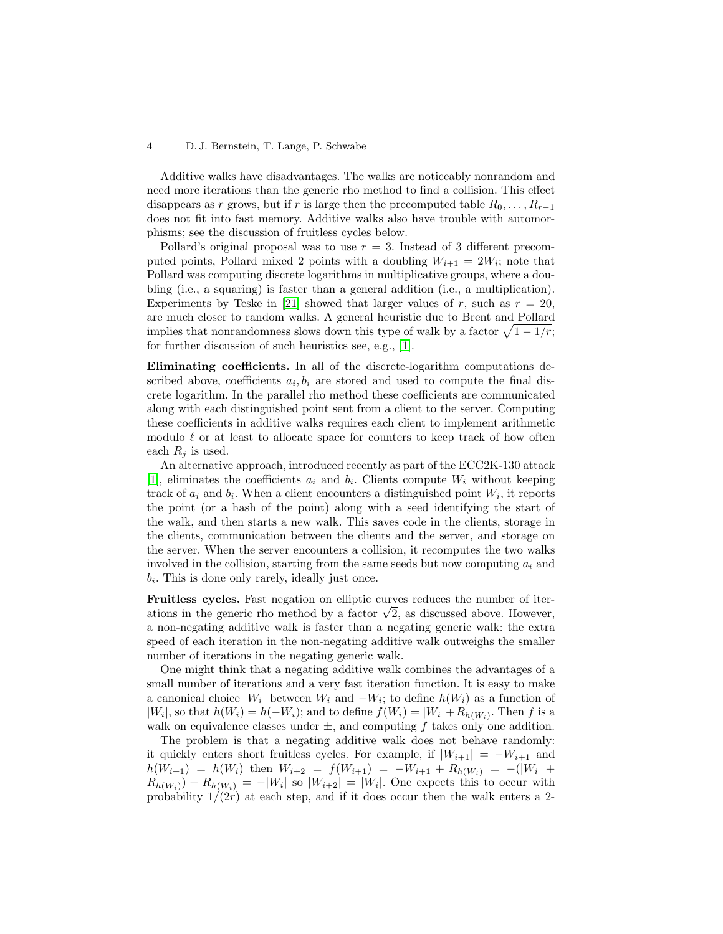Additive walks have disadvantages. The walks are noticeably nonrandom and need more iterations than the generic rho method to find a collision. This effect disappears as r grows, but if r is large then the precomputed table  $R_0, \ldots, R_{r-1}$ does not fit into fast memory. Additive walks also have trouble with automorphisms; see the discussion of fruitless cycles below.

<span id="page-3-2"></span>Pollard's original proposal was to use  $r = 3$ . Instead of 3 different precomputed points, Pollard mixed 2 points with a doubling  $W_{i+1} = 2W_i$ ; note that Pollard was computing discrete logarithms in multiplicative groups, where a doubling (i.e., a squaring) is faster than a general addition (i.e., a multiplication). Experiments by Teske in [\[21\]](#page-18-2) showed that larger values of r, such as  $r = 20$ , are much closer to random walks. A general heuristic due to Brent and Pollard implies that nonrandomness slows down this type of walk by a factor  $\sqrt{1 - 1/r}$ ; for further discussion of such heuristics see, e.g., [\[1\]](#page-17-4).

<span id="page-3-0"></span>Eliminating coefficients. In all of the discrete-logarithm computations described above, coefficients  $a_i, b_i$  are stored and used to compute the final discrete logarithm. In the parallel rho method these coefficients are communicated along with each distinguished point sent from a client to the server. Computing these coefficients in additive walks requires each client to implement arithmetic modulo  $\ell$  or at least to allocate space for counters to keep track of how often each  $R_j$  is used.

<span id="page-3-1"></span>An alternative approach, introduced recently as part of the ECC2K-130 attack [\[1\]](#page-17-4), eliminates the coefficients  $a_i$  and  $b_i$ . Clients compute  $W_i$  without keeping track of  $a_i$  and  $b_i$ . When a client encounters a distinguished point  $W_i$ , it reports the point (or a hash of the point) along with a seed identifying the start of the walk, and then starts a new walk. This saves code in the clients, storage in the clients, communication between the clients and the server, and storage on the server. When the server encounters a collision, it recomputes the two walks involved in the collision, starting from the same seeds but now computing  $a_i$  and  $b_i$ . This is done only rarely, ideally just once.

Fruitless cycles. Fast negation on elliptic curves reduces the number of iter-**Fruitiess cycles.** Fast negation on emptic curves reduces the number of iterations in the generic rho method by a factor  $\sqrt{2}$ , as discussed above. However, a non-negating additive walk is faster than a negating generic walk: the extra speed of each iteration in the non-negating additive walk outweighs the smaller number of iterations in the negating generic walk.

One might think that a negating additive walk combines the advantages of a small number of iterations and a very fast iteration function. It is easy to make a canonical choice  $|W_i|$  between  $W_i$  and  $-W_i$ ; to define  $h(W_i)$  as a function of  $|W_i|$ , so that  $h(W_i) = h(-W_i)$ ; and to define  $f(W_i) = |W_i| + R_{h(W_i)}$ . Then f is a walk on equivalence classes under  $\pm$ , and computing f takes only one addition.

The problem is that a negating additive walk does not behave randomly: it quickly enters short fruitless cycles. For example, if  $|W_{i+1}| = -W_{i+1}$  and  $h(W_{i+1}) = h(W_i)$  then  $W_{i+2} = f(W_{i+1}) = -W_{i+1} + R_{h(W_i)} = -(|W_i| +$  $R_{h(W_i)}) + R_{h(W_i)} = -|W_i|$  so  $|W_{i+2}| = |W_i|$ . One expects this to occur with probability  $1/(2r)$  at each step, and if it does occur then the walk enters a 2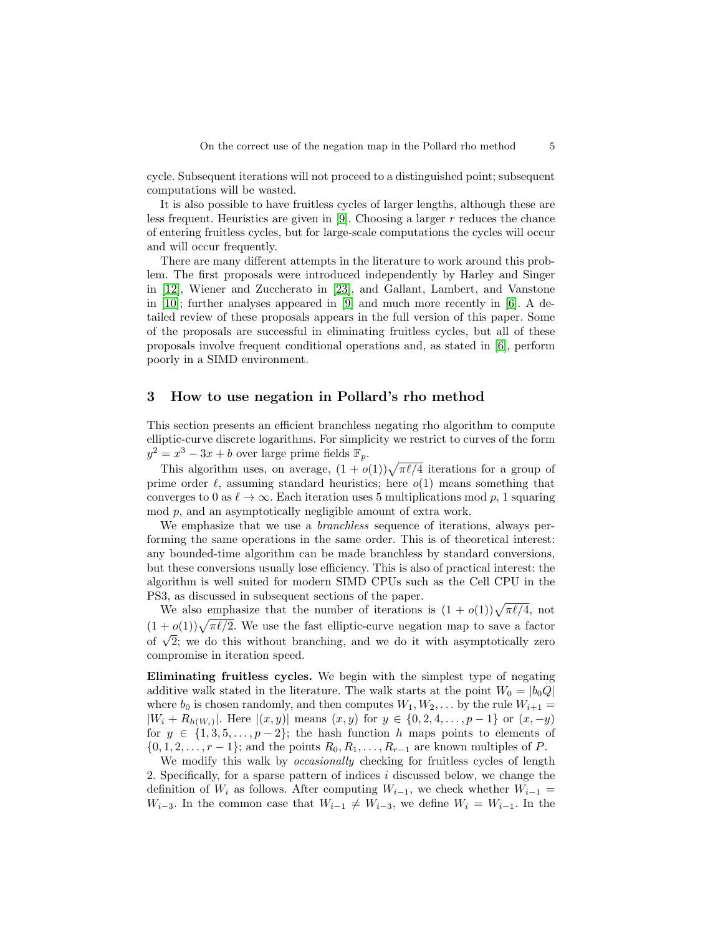cycle. Subsequent iterations will not proceed to a distinguished point; subsequent computations will be wasted.

<span id="page-4-2"></span>It is also possible to have fruitless cycles of larger lengths, although these are less frequent. Heuristics are given in [\[9\]](#page-17-5). Choosing a larger  $r$  reduces the chance of entering fruitless cycles, but for large-scale computations the cycles will occur and will occur frequently.

<span id="page-4-6"></span><span id="page-4-5"></span><span id="page-4-4"></span><span id="page-4-3"></span><span id="page-4-0"></span>There are many different attempts in the literature to work around this problem. The first proposals were introduced independently by Harley and Singer in [\[12\]](#page-18-3), Wiener and Zuccherato in [\[23\]](#page-18-4), and Gallant, Lambert, and Vanstone in [\[10\]](#page-17-6); further analyses appeared in [\[9\]](#page-17-5) and much more recently in [\[6\]](#page-17-3). A detailed review of these proposals appears in the full version of this paper. Some of the proposals are successful in eliminating fruitless cycles, but all of these proposals involve frequent conditional operations and, as stated in [\[6\]](#page-17-3), perform poorly in a SIMD environment.

## <span id="page-4-1"></span>3 How to use negation in Pollard's rho method

This section presents an efficient branchless negating rho algorithm to compute elliptic-curve discrete logarithms. For simplicity we restrict to curves of the form  $y^2 = x^3 - 3x + b$  over large prime fields  $\mathbb{F}_p$ .

This algorithm uses, on average,  $(1 + o(1))\sqrt{\pi l/4}$  iterations for a group of prime order  $\ell$ , assuming standard heuristics; here  $o(1)$  means something that converges to 0 as  $\ell \to \infty$ . Each iteration uses 5 multiplications mod p, 1 squaring  $mod\ p$ , and an asymptotically negligible amount of extra work.

We emphasize that we use a *branchless* sequence of iterations, always performing the same operations in the same order. This is of theoretical interest: any bounded-time algorithm can be made branchless by standard conversions, but these conversions usually lose efficiency. This is also of practical interest: the algorithm is well suited for modern SIMD CPUs such as the Cell CPU in the PS3, as discussed in subsequent sections of the paper.

We also emphasize that the number of iterations is  $(1 + o(1))\sqrt{\pi\ell/4}$ , not  $(1+o(1))\sqrt{\pi\ell/2}$ . We use the fast elliptic-curve negation map to save a factor  $(1 + o(1))\sqrt{\pi\ell/2}$ , we use the last emptic-curve negation map to save a factor of  $\sqrt{2}$ ; we do this without branching, and we do it with asymptotically zero compromise in iteration speed.

Eliminating fruitless cycles. We begin with the simplest type of negating additive walk stated in the literature. The walk starts at the point  $W_0 = |b_0 Q|$ where  $b_0$  is chosen randomly, and then computes  $W_1, W_2, \ldots$  by the rule  $W_{i+1} =$  $|W_i + R_{h(W_i)}|$ . Here  $|(x, y)|$  means  $(x, y)$  for  $y \in \{0, 2, 4, ..., p-1\}$  or  $(x, -y)$ for  $y \in \{1, 3, 5, \ldots, p-2\}$ ; the hash function h maps points to elements of  $\{0, 1, 2, \ldots, r - 1\}$ ; and the points  $R_0, R_1, \ldots, R_{r-1}$  are known multiples of P.

We modify this walk by *occasionally* checking for fruitless cycles of length 2. Specifically, for a sparse pattern of indices  $i$  discussed below, we change the definition of  $W_i$  as follows. After computing  $W_{i-1}$ , we check whether  $W_{i-1}$  $W_{i-3}$ . In the common case that  $W_{i-1} \neq W_{i-3}$ , we define  $W_i = W_{i-1}$ . In the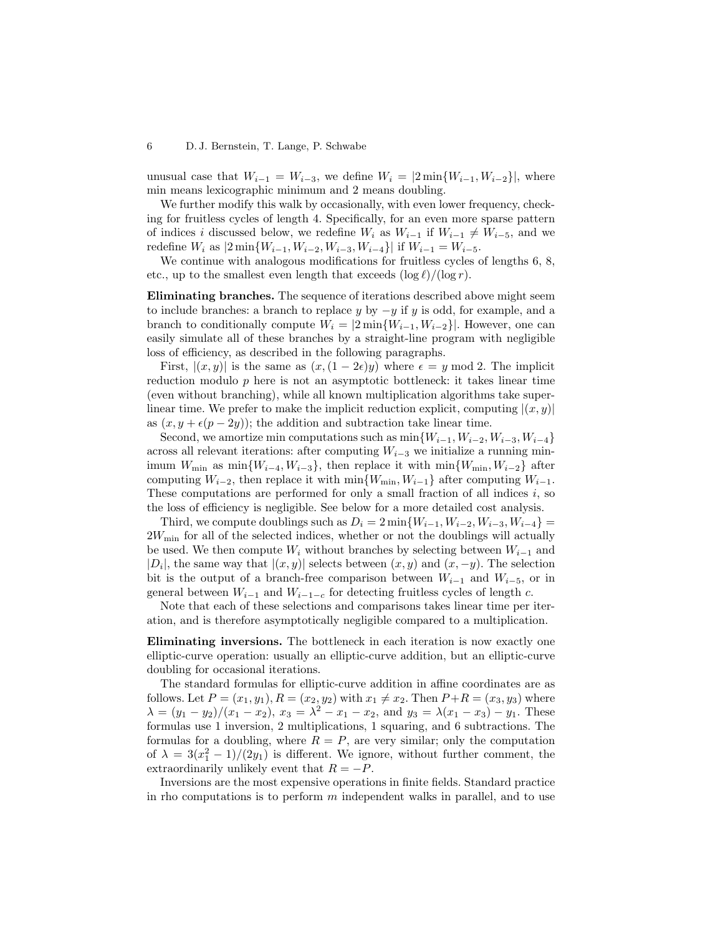unusual case that  $W_{i-1} = W_{i-3}$ , we define  $W_i = |2 \min\{W_{i-1}, W_{i-2}\}|$ , where min means lexicographic minimum and 2 means doubling.

We further modify this walk by occasionally, with even lower frequency, checking for fruitless cycles of length 4. Specifically, for an even more sparse pattern of indices i discussed below, we redefine  $W_i$  as  $W_{i-1}$  if  $W_{i-1} \neq W_{i-5}$ , and we redefine  $W_i$  as  $|2 \min\{W_{i-1}, W_{i-2}, W_{i-3}, W_{i-4}\}|$  if  $W_{i-1} = W_{i-5}$ .

We continue with analogous modifications for fruitless cycles of lengths 6, 8, etc., up to the smallest even length that exceeds  $(\log \ell)/(\log r)$ .

Eliminating branches. The sequence of iterations described above might seem to include branches: a branch to replace y by  $-y$  if y is odd, for example, and a branch to conditionally compute  $W_i = |2 \min\{W_{i-1}, W_{i-2}\}|$ . However, one can easily simulate all of these branches by a straight-line program with negligible loss of efficiency, as described in the following paragraphs.

First,  $|(x, y)|$  is the same as  $(x,(1 - 2\epsilon)y)$  where  $\epsilon = y \mod 2$ . The implicit reduction modulo  $p$  here is not an asymptotic bottleneck: it takes linear time (even without branching), while all known multiplication algorithms take superlinear time. We prefer to make the implicit reduction explicit, computing  $|(x, y)|$ as  $(x, y + \epsilon(p - 2y))$ ; the addition and subtraction take linear time.

Second, we amortize min computations such as  $\min\{W_{i-1}, W_{i-2}, W_{i-3}, W_{i-4}\}\$ across all relevant iterations: after computing  $W_{i-3}$  we initialize a running minimum  $W_{\text{min}}$  as  $\min\{W_{i-4}, W_{i-3}\}\$ , then replace it with  $\min\{W_{\text{min}}, W_{i-2}\}\$  after computing  $W_{i-2}$ , then replace it with min{ $W_{\min}, W_{i-1}$ } after computing  $W_{i-1}$ . These computations are performed for only a small fraction of all indices  $i$ , so the loss of efficiency is negligible. See below for a more detailed cost analysis.

Third, we compute doublings such as  $D_i = 2 \min\{W_{i-1}, W_{i-2}, W_{i-3}, W_{i-4}\}$  $2W_{\text{min}}$  for all of the selected indices, whether or not the doublings will actually be used. We then compute  $W_i$  without branches by selecting between  $W_{i-1}$  and  $|D_i|$ , the same way that  $|(x, y)|$  selects between  $(x, y)$  and  $(x, -y)$ . The selection bit is the output of a branch-free comparison between  $W_{i-1}$  and  $W_{i-5}$ , or in general between  $W_{i-1}$  and  $W_{i-1-c}$  for detecting fruitless cycles of length c.

Note that each of these selections and comparisons takes linear time per iteration, and is therefore asymptotically negligible compared to a multiplication.

Eliminating inversions. The bottleneck in each iteration is now exactly one elliptic-curve operation: usually an elliptic-curve addition, but an elliptic-curve doubling for occasional iterations.

The standard formulas for elliptic-curve addition in affine coordinates are as follows. Let  $P = (x_1, y_1), R = (x_2, y_2)$  with  $x_1 \neq x_2$ . Then  $P + R = (x_3, y_3)$  where  $\lambda = (y_1 - y_2)/(x_1 - x_2), x_3 = \lambda^2 - x_1 - x_2, \text{ and } y_3 = \lambda (x_1 - x_3) - y_1.$  These formulas use 1 inversion, 2 multiplications, 1 squaring, and 6 subtractions. The formulas for a doubling, where  $R = P$ , are very similar; only the computation of  $\lambda = 3(x_1^2 - 1)/(2y_1)$  is different. We ignore, without further comment, the extraordinarily unlikely event that  $R = -P$ .

Inversions are the most expensive operations in finite fields. Standard practice in rho computations is to perform  $m$  independent walks in parallel, and to use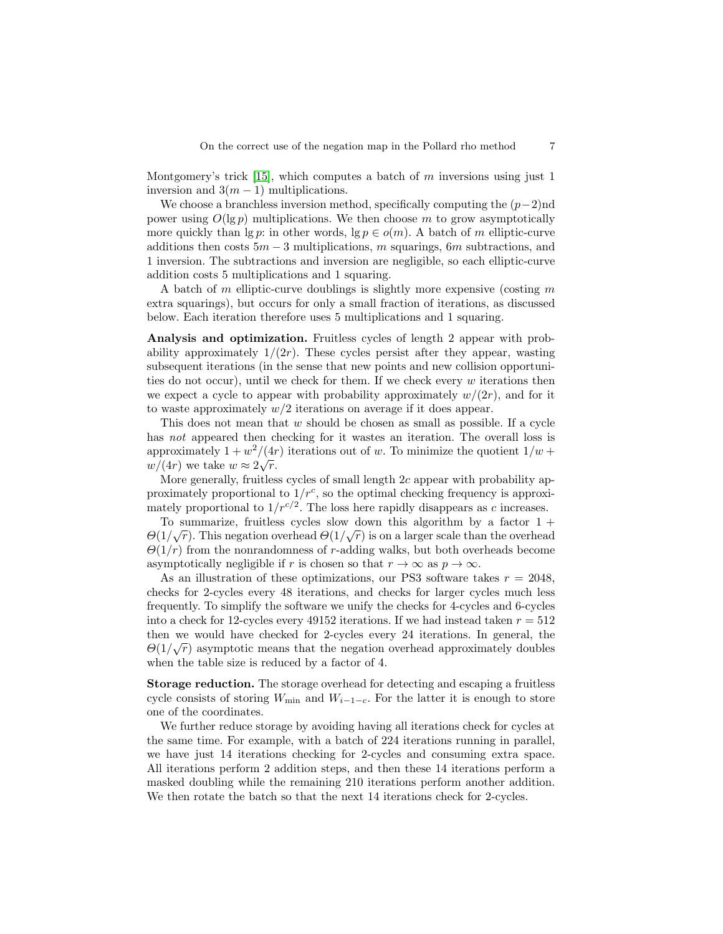<span id="page-6-0"></span>Montgomery's trick [\[15\]](#page-18-5), which computes a batch of m inversions using just 1 inversion and  $3(m-1)$  multiplications.

We choose a branchless inversion method, specifically computing the  $(p-2)$ nd power using  $O(\lg p)$  multiplications. We then choose m to grow asymptotically more quickly than lg p: in other words,  $\lg p \in o(m)$ . A batch of m elliptic-curve additions then costs  $5m - 3$  multiplications, m squarings, 6m subtractions, and 1 inversion. The subtractions and inversion are negligible, so each elliptic-curve addition costs 5 multiplications and 1 squaring.

A batch of m elliptic-curve doublings is slightly more expensive (costing  $m$ extra squarings), but occurs for only a small fraction of iterations, as discussed below. Each iteration therefore uses 5 multiplications and 1 squaring.

Analysis and optimization. Fruitless cycles of length 2 appear with probability approximately  $1/(2r)$ . These cycles persist after they appear, wasting subsequent iterations (in the sense that new points and new collision opportunities do not occur), until we check for them. If we check every w iterations then we expect a cycle to appear with probability approximately  $w/(2r)$ , and for it to waste approximately  $w/2$  iterations on average if it does appear.

This does not mean that  $w$  should be chosen as small as possible. If a cycle has not appeared then checking for it wastes an iteration. The overall loss is approximately  $1 + w^2/(4r)$  iterations out of w. To minimize the quotient  $1/w +$  $w/(4r)$  we take  $w \approx 2\sqrt{r}$ .

More generally, fruitless cycles of small length  $2c$  appear with probability approximately proportional to  $1/r^c$ , so the optimal checking frequency is approximately proportional to  $1/r^{c/2}$ . The loss here rapidly disappears as c increases.

To summarize, fruitless cycles slow down this algorithm by a factor  $1 +$  $\Theta(1/\sqrt{r})$ . This negation overhead  $\Theta(1/\sqrt{r})$  is on a larger scale than the overhead  $\Theta(1/r)$  from the nonrandomness of r-adding walks, but both overheads become asymptotically negligible if r is chosen so that  $r \to \infty$  as  $p \to \infty$ .

As an illustration of these optimizations, our PS3 software takes  $r = 2048$ , checks for 2-cycles every 48 iterations, and checks for larger cycles much less frequently. To simplify the software we unify the checks for 4-cycles and 6-cycles into a check for 12-cycles every 49152 iterations. If we had instead taken  $r = 512$ then we would have checked for 2-cycles every 24 iterations. In general, the  $\sim$  (1)  $\Theta(1/\sqrt{r})$  asymptotic means that the negation overhead approximately doubles when the table size is reduced by a factor of 4.

Storage reduction. The storage overhead for detecting and escaping a fruitless cycle consists of storing  $W_{\min}$  and  $W_{i-1-c}$ . For the latter it is enough to store one of the coordinates.

We further reduce storage by avoiding having all iterations check for cycles at the same time. For example, with a batch of 224 iterations running in parallel, we have just 14 iterations checking for 2-cycles and consuming extra space. All iterations perform 2 addition steps, and then these 14 iterations perform a masked doubling while the remaining 210 iterations perform another addition. We then rotate the batch so that the next 14 iterations check for 2-cycles.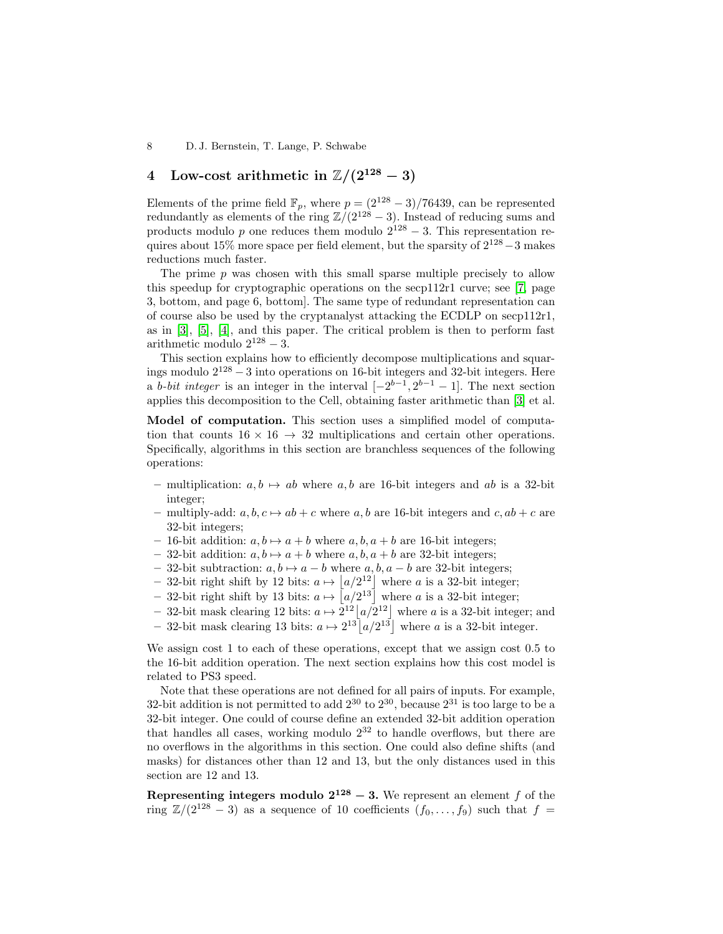## 4 Low-cost arithmetic in  $\mathbb{Z}/(2^{128}-3)$

Elements of the prime field  $\mathbb{F}_p$ , where  $p = (2^{128} - 3)/76439$ , can be represented redundantly as elements of the ring  $\mathbb{Z}/(2^{128}-3)$ . Instead of reducing sums and products modulo p one reduces them modulo  $2^{128} - 3$ . This representation requires about 15% more space per field element, but the sparsity of  $2^{128}-3$  makes reductions much faster.

<span id="page-7-4"></span>The prime  $p$  was chosen with this small sparse multiple precisely to allow this speedup for cryptographic operations on the secp112r1 curve; see [\[7,](#page-17-7) page 3, bottom, and page 6, bottom]. The same type of redundant representation can of course also be used by the cryptanalyst attacking the ECDLP on secp112r1, as in [\[3\]](#page-17-0), [\[5\]](#page-17-1), [\[4\]](#page-17-2), and this paper. The critical problem is then to perform fast arithmetic modulo  $2^{128} - 3$ .

<span id="page-7-3"></span><span id="page-7-2"></span><span id="page-7-0"></span>This section explains how to efficiently decompose multiplications and squarings modulo  $2^{128} - 3$  into operations on 16-bit integers and 32-bit integers. Here a b-bit integer is an integer in the interval  $[-2^{b-1}, 2^{b-1} - 1]$ . The next section applies this decomposition to the Cell, obtaining faster arithmetic than [\[3\]](#page-17-0) et al.

<span id="page-7-1"></span>Model of computation. This section uses a simplified model of computation that counts  $16 \times 16 \rightarrow 32$  multiplications and certain other operations. Specifically, algorithms in this section are branchless sequences of the following operations:

- multiplication:  $a, b \mapsto ab$  where  $a, b$  are 16-bit integers and ab is a 32-bit integer;
- multiply-add:  $a, b, c \mapsto ab + c$  where  $a, b$  are 16-bit integers and  $c, ab + c$  are 32-bit integers;
- 16-bit addition:  $a, b \mapsto a + b$  where  $a, b, a + b$  are 16-bit integers;
- 32-bit addition:  $a, b \mapsto a + b$  where  $a, b, a + b$  are 32-bit integers;
- 32-bit subtraction:  $a, b \mapsto a b$  where  $a, b, a b$  are 32-bit integers;
- 32-bit right shift by 12 bits:  $a \mapsto |a/2^{12}|$  where a is a 32-bit integer;
- 32-bit right shift by 13 bits:  $a \mapsto |a/2^{13}|$  where a is a 32-bit integer;
- 32-bit mask clearing 12 bits:  $a \mapsto 2^{12} |a/2^{12}|$  where a is a 32-bit integer; and
- 32-bit mask clearing 13 bits:  $a \mapsto 2^{13} |a/2^{13}|$  where a is a 32-bit integer.

We assign cost 1 to each of these operations, except that we assign cost 0.5 to the 16-bit addition operation. The next section explains how this cost model is related to PS3 speed.

Note that these operations are not defined for all pairs of inputs. For example, 32-bit addition is not permitted to add  $2^{30}$  to  $2^{30}$ , because  $2^{31}$  is too large to be a 32-bit integer. One could of course define an extended 32-bit addition operation that handles all cases, working modulo  $2^{32}$  to handle overflows, but there are no overflows in the algorithms in this section. One could also define shifts (and masks) for distances other than 12 and 13, but the only distances used in this section are 12 and 13.

Representing integers modulo  $2^{128} - 3$ . We represent an element f of the ring  $\mathbb{Z}/(2^{128} - 3)$  as a sequence of 10 coefficients  $(f_0, \ldots, f_9)$  such that  $f =$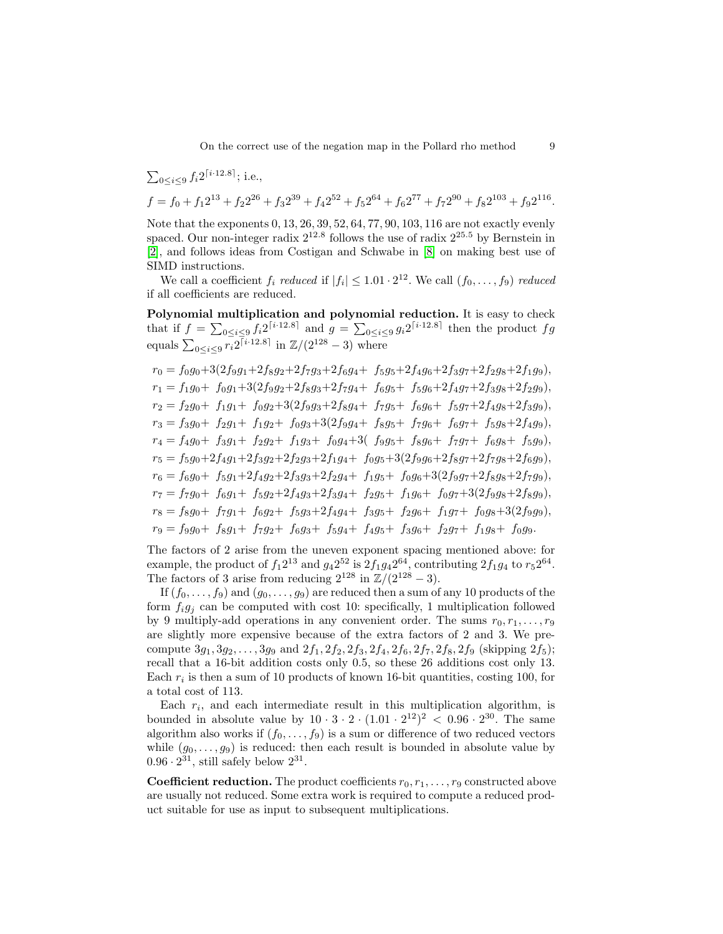$$
\sum_{0 \le i \le 9} f_i 2^{\lceil i \cdot 12.8 \rceil}; \text{ i.e.,}
$$
  

$$
f = f_0 + f_1 2^{13} + f_2 2^{26} + f_3 2^{39} + f_4 2^{52} + f_5 2^{64} + f_6 2^{77} + f_7 2^{90} + f_8 2^{103} + f_9 2^{116}.
$$

<span id="page-8-1"></span><span id="page-8-0"></span>Note that the exponents 0, 13, 26, 39, 52, 64, 77, 90, 103, 116 are not exactly evenly spaced. Our non-integer radix  $2^{12.8}$  follows the use of radix  $2^{25.5}$  by Bernstein in [\[2\]](#page-17-8), and follows ideas from Costigan and Schwabe in [\[8\]](#page-17-9) on making best use of SIMD instructions.

We call a coefficient  $f_i$  reduced if  $|f_i| \leq 1.01 \cdot 2^{12}$ . We call  $(f_0, \ldots, f_9)$  reduced if all coefficients are reduced.

Polynomial multiplication and polynomial reduction. It is easy to check that if  $f = \sum_{0 \le i \le 9} f_i 2^{\lceil i \cdot 12.8 \rceil}$  and  $g = \sum_{0 \le i \le 9} g_i 2^{\lceil i \cdot 12.8 \rceil}$  then the product  $fg$ equals  $\sum_{0 \le i \le 9} r_i 2^{\lceil i \cdot 12.8 \rceil}$  in  $\mathbb{Z}/(2^{128} - 3)$  where

$$
r_0 = f_0g_0 + 3(2f_9g_1 + 2f_8g_2 + 2f_7g_3 + 2f_6g_4 + f_5g_5 + 2f_4g_6 + 2f_3g_7 + 2f_2g_8 + 2f_1g_9),
$$
  
\n
$$
r_1 = f_1g_0 + f_0g_1 + 3(2f_9g_2 + 2f_8g_3 + 2f_7g_4 + f_6g_5 + f_5g_6 + 2f_4g_7 + 2f_3g_8 + 2f_2g_9),
$$
  
\n
$$
r_2 = f_2g_0 + f_1g_1 + f_0g_2 + 3(2f_9g_3 + 2f_8g_4 + f_7g_5 + f_6g_6 + f_5g_7 + 2f_4g_8 + 2f_3g_9),
$$
  
\n
$$
r_3 = f_3g_0 + f_2g_1 + f_1g_2 + f_0g_3 + 3(2f_9g_4 + f_8g_5 + f_7g_6 + f_6g_7 + f_5g_8 + 2f_4g_9),
$$
  
\n
$$
r_4 = f_4g_0 + f_3g_1 + f_2g_2 + f_1g_3 + f_0g_4 + 3( f_9g_5 + f_8g_6 + f_7g_7 + f_6g_8 + f_5g_9),
$$
  
\n
$$
r_5 = f_5g_0 + 2f_4g_1 + 2f_3g_2 + 2f_2g_3 + 2f_1g_4 + f_0g_5 + 3(2f_9g_6 + 2f_8g_7 + 2f_7g_8 + 2f_6g_9),
$$
  
\n
$$
r_6 = f_6g_0 + f_5g_1 + 2f_4g_2 + 2f_3g_3 + 2f_2g_4 + f_1g_5 + f_0g_6 + 3(2f_9g_7 + 2f_8g_8 + 2f_7g_9),
$$
  
\n
$$
r_7 = f_7g_0 + f_6g_1 + f_5g_2 + 2f_4g_3 + 2f_3g_4 + f_2g_5 + f_1g_6 + f_0g_7 + 3(2f_9g_8
$$

The factors of 2 arise from the uneven exponent spacing mentioned above: for example, the product of  $f_1 2^{13}$  and  $g_4 2^{52}$  is  $2f_1 g_4 2^{64}$ , contributing  $2f_1 g_4$  to  $r_5 2^{64}$ . The factors of 3 arise from reducing  $2^{128}$  in  $\mathbb{Z}/(2^{128}-3)$ .

If  $(f_0, \ldots, f_9)$  and  $(g_0, \ldots, g_9)$  are reduced then a sum of any 10 products of the form  $f_i g_i$  can be computed with cost 10: specifically, 1 multiplication followed by 9 multiply-add operations in any convenient order. The sums  $r_0, r_1, \ldots, r_9$ are slightly more expensive because of the extra factors of 2 and 3. We precompute  $3g_1, 3g_2, \ldots, 3g_9$  and  $2f_1, 2f_2, 2f_3, 2f_4, 2f_6, 2f_7, 2f_8, 2f_9$  (skipping  $2f_5$ ); recall that a 16-bit addition costs only 0.5, so these 26 additions cost only 13. Each  $r_i$  is then a sum of 10 products of known 16-bit quantities, costing 100, for a total cost of 113.

Each  $r_i$ , and each intermediate result in this multiplication algorithm, is bounded in absolute value by  $10 \cdot 3 \cdot 2 \cdot (1.01 \cdot 2^{12})^2 < 0.96 \cdot 2^{30}$ . The same algorithm also works if  $(f_0, \ldots, f_9)$  is a sum or difference of two reduced vectors while  $(g_0, \ldots, g_9)$  is reduced: then each result is bounded in absolute value by  $0.96 \cdot 2^{31}$ , still safely below  $2^{31}$ .

**Coefficient reduction.** The product coefficients  $r_0, r_1, \ldots, r_9$  constructed above are usually not reduced. Some extra work is required to compute a reduced product suitable for use as input to subsequent multiplications.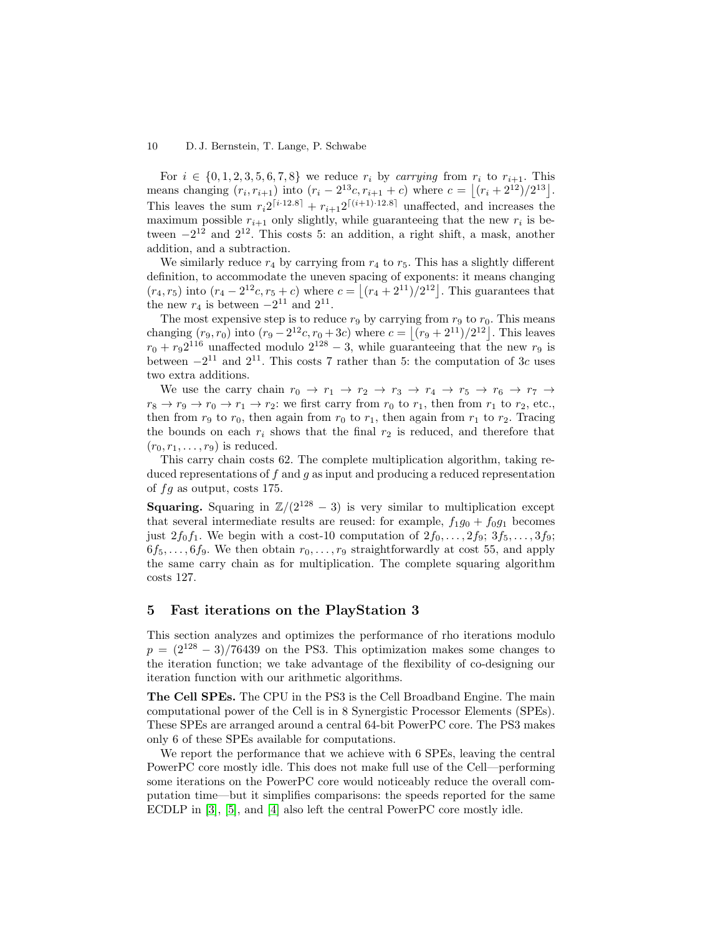For  $i \in \{0, 1, 2, 3, 5, 6, 7, 8\}$  we reduce  $r_i$  by carrying from  $r_i$  to  $r_{i+1}$ . This means changing  $(r_i, r_{i+1})$  into  $(r_i - 2^{13}c, r_{i+1} + c)$  where  $c = |(r_i + 2^{12})/2^{13}|$ . This leaves the sum  $r_i 2^{[i \cdot 12.8]} + r_{i+1} 2^{[(i+1) \cdot 12.8]}$  unaffected, and increases the maximum possible  $r_{i+1}$  only slightly, while guaranteeing that the new  $r_i$  is between  $-2^{12}$  and  $2^{12}$ . This costs 5: an addition, a right shift, a mask, another addition, and a subtraction.

We similarly reduce  $r_4$  by carrying from  $r_4$  to  $r_5$ . This has a slightly different definition, to accommodate the uneven spacing of exponents: it means changing  $(r_4, r_5)$  into  $(r_4 - 2^{12}c, r_5 + c)$  where  $c = |(r_4 + 2^{11})/2^{12}|$ . This guarantees that the new  $r_4$  is between  $-2^{11}$  and  $2^{11}$ .

The most expensive step is to reduce  $r_9$  by carrying from  $r_9$  to  $r_0$ . This means changing  $(r_9, r_0)$  into  $(r_9 - 2^{12}c, r_0 + 3c)$  where  $c = |(r_9 + 2^{11})/2^{12}|$ . This leaves  $r_0 + r_9 2^{116}$  unaffected modulo  $2^{128} - 3$ , while guaranteeing that the new  $r_9$  is between  $-2^{11}$  and  $2^{11}$ . This costs 7 rather than 5: the computation of 3c uses two extra additions.

We use the carry chain  $r_0 \rightarrow r_1 \rightarrow r_2 \rightarrow r_3 \rightarrow r_4 \rightarrow r_5 \rightarrow r_6 \rightarrow r_7 \rightarrow$  $r_8 \rightarrow r_9 \rightarrow r_0 \rightarrow r_1 \rightarrow r_2$ : we first carry from  $r_0$  to  $r_1$ , then from  $r_1$  to  $r_2$ , etc., then from  $r_9$  to  $r_0$ , then again from  $r_0$  to  $r_1$ , then again from  $r_1$  to  $r_2$ . Tracing the bounds on each  $r_i$  shows that the final  $r_2$  is reduced, and therefore that  $(r_0, r_1, \ldots, r_9)$  is reduced.

This carry chain costs 62. The complete multiplication algorithm, taking reduced representations of  $f$  and  $g$  as input and producing a reduced representation of  $fq$  as output, costs 175.

**Squaring.** Squaring in  $\mathbb{Z}/(2^{128} - 3)$  is very similar to multiplication except that several intermediate results are reused: for example,  $f_1g_0 + f_0g_1$  becomes just  $2f_0f_1$ . We begin with a cost-10 computation of  $2f_0, \ldots, 2f_9; 3f_5, \ldots, 3f_9;$  $6f_5, \ldots, 6f_9$ . We then obtain  $r_0, \ldots, r_9$  straightforwardly at cost 55, and apply the same carry chain as for multiplication. The complete squaring algorithm costs 127.

## 5 Fast iterations on the PlayStation 3

This section analyzes and optimizes the performance of rho iterations modulo  $p = (2^{128} - 3)/76439$  on the PS3. This optimization makes some changes to the iteration function; we take advantage of the flexibility of co-designing our iteration function with our arithmetic algorithms.

The Cell SPEs. The CPU in the PS3 is the Cell Broadband Engine. The main computational power of the Cell is in 8 Synergistic Processor Elements (SPEs). These SPEs are arranged around a central 64-bit PowerPC core. The PS3 makes only 6 of these SPEs available for computations.

<span id="page-9-2"></span><span id="page-9-1"></span><span id="page-9-0"></span>We report the performance that we achieve with 6 SPEs, leaving the central PowerPC core mostly idle. This does not make full use of the Cell—performing some iterations on the PowerPC core would noticeably reduce the overall computation time—but it simplifies comparisons: the speeds reported for the same ECDLP in [\[3\]](#page-17-0), [\[5\]](#page-17-1), and [\[4\]](#page-17-2) also left the central PowerPC core mostly idle.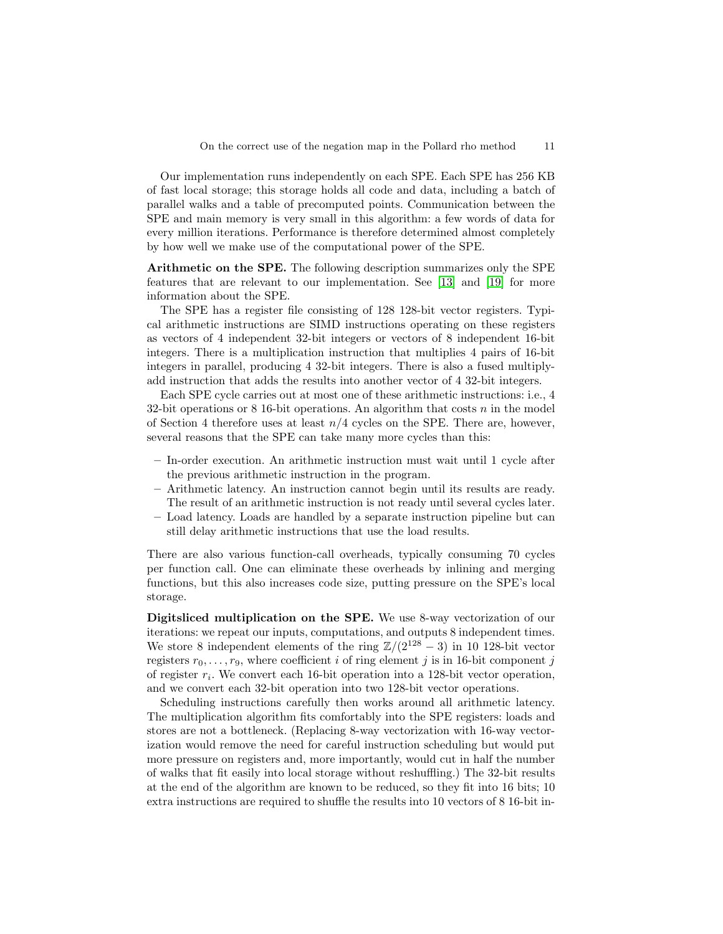Our implementation runs independently on each SPE. Each SPE has 256 KB of fast local storage; this storage holds all code and data, including a batch of parallel walks and a table of precomputed points. Communication between the SPE and main memory is very small in this algorithm: a few words of data for every million iterations. Performance is therefore determined almost completely by how well we make use of the computational power of the SPE.

<span id="page-10-1"></span><span id="page-10-0"></span>Arithmetic on the SPE. The following description summarizes only the SPE features that are relevant to our implementation. See [\[13\]](#page-18-6) and [\[19\]](#page-18-7) for more information about the SPE.

The SPE has a register file consisting of 128 128-bit vector registers. Typical arithmetic instructions are SIMD instructions operating on these registers as vectors of 4 independent 32-bit integers or vectors of 8 independent 16-bit integers. There is a multiplication instruction that multiplies 4 pairs of 16-bit integers in parallel, producing 4 32-bit integers. There is also a fused multiplyadd instruction that adds the results into another vector of 4 32-bit integers.

Each SPE cycle carries out at most one of these arithmetic instructions: i.e., 4 32-bit operations or  $8$  16-bit operations. An algorithm that costs  $n$  in the model of Section 4 therefore uses at least  $n/4$  cycles on the SPE. There are, however, several reasons that the SPE can take many more cycles than this:

- In-order execution. An arithmetic instruction must wait until 1 cycle after the previous arithmetic instruction in the program.
- Arithmetic latency. An instruction cannot begin until its results are ready. The result of an arithmetic instruction is not ready until several cycles later.
- Load latency. Loads are handled by a separate instruction pipeline but can still delay arithmetic instructions that use the load results.

There are also various function-call overheads, typically consuming 70 cycles per function call. One can eliminate these overheads by inlining and merging functions, but this also increases code size, putting pressure on the SPE's local storage.

Digitsliced multiplication on the SPE. We use 8-way vectorization of our iterations: we repeat our inputs, computations, and outputs 8 independent times. We store 8 independent elements of the ring  $\mathbb{Z}/(2^{128} - 3)$  in 10 128-bit vector registers  $r_0, \ldots, r_9$ , where coefficient i of ring element j is in 16-bit component j of register  $r_i$ . We convert each 16-bit operation into a 128-bit vector operation, and we convert each 32-bit operation into two 128-bit vector operations.

Scheduling instructions carefully then works around all arithmetic latency. The multiplication algorithm fits comfortably into the SPE registers: loads and stores are not a bottleneck. (Replacing 8-way vectorization with 16-way vectorization would remove the need for careful instruction scheduling but would put more pressure on registers and, more importantly, would cut in half the number of walks that fit easily into local storage without reshuffling.) The 32-bit results at the end of the algorithm are known to be reduced, so they fit into 16 bits; 10 extra instructions are required to shuffle the results into 10 vectors of 8 16-bit in-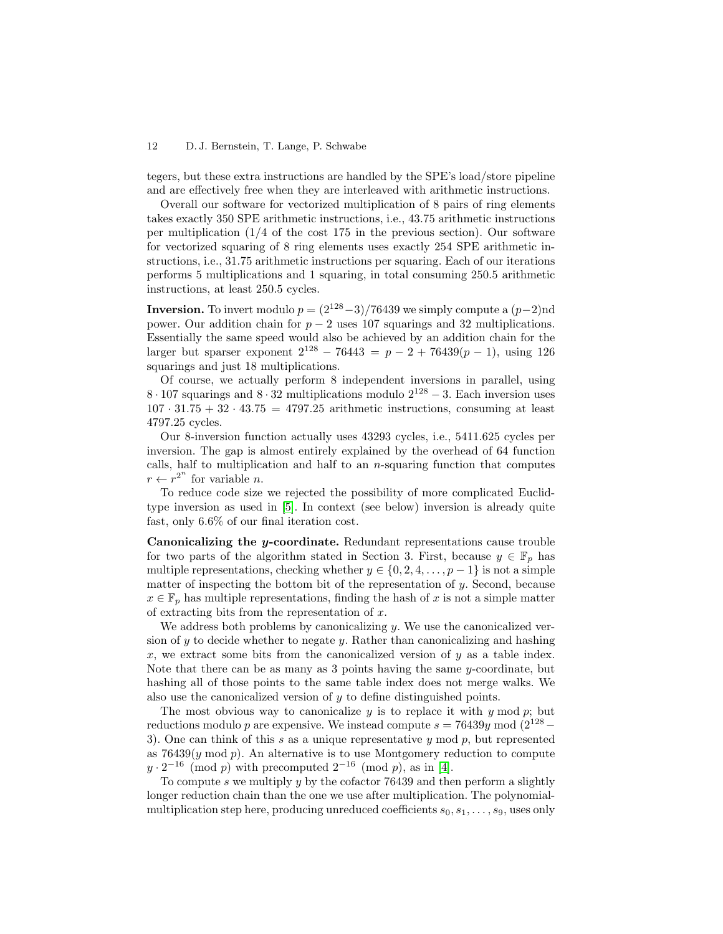tegers, but these extra instructions are handled by the SPE's load/store pipeline and are effectively free when they are interleaved with arithmetic instructions.

Overall our software for vectorized multiplication of 8 pairs of ring elements takes exactly 350 SPE arithmetic instructions, i.e., 43.75 arithmetic instructions per multiplication (1/4 of the cost 175 in the previous section). Our software for vectorized squaring of 8 ring elements uses exactly 254 SPE arithmetic instructions, i.e., 31.75 arithmetic instructions per squaring. Each of our iterations performs 5 multiplications and 1 squaring, in total consuming 250.5 arithmetic instructions, at least 250.5 cycles.

**Inversion.** To invert modulo  $p = (2^{128}-3)/76439$  we simply compute a  $(p-2)$ nd power. Our addition chain for  $p - 2$  uses 107 squarings and 32 multiplications. Essentially the same speed would also be achieved by an addition chain for the larger but sparser exponent  $2^{128} - 76443 = p - 2 + 76439(p - 1)$ , using 126 squarings and just 18 multiplications.

Of course, we actually perform 8 independent inversions in parallel, using 8 · 107 squarings and 8 · 32 multiplications modulo 2<sup>128</sup> − 3. Each inversion uses  $107 \cdot 31.75 + 32 \cdot 43.75 = 4797.25$  arithmetic instructions, consuming at least 4797.25 cycles.

Our 8-inversion function actually uses 43293 cycles, i.e., 5411.625 cycles per inversion. The gap is almost entirely explained by the overhead of 64 function calls, half to multiplication and half to an  $n$ -squaring function that computes  $r \leftarrow r^{2^n}$  for variable *n*.

<span id="page-11-1"></span>To reduce code size we rejected the possibility of more complicated Euclidtype inversion as used in [\[5\]](#page-17-1). In context (see below) inversion is already quite fast, only 6.6% of our final iteration cost.

Canonicalizing the y-coordinate. Redundant representations cause trouble for two parts of the algorithm stated in Section 3. First, because  $y \in \mathbb{F}_p$  has multiple representations, checking whether  $y \in \{0, 2, 4, \ldots, p-1\}$  is not a simple matter of inspecting the bottom bit of the representation of y. Second, because  $x \in \mathbb{F}_p$  has multiple representations, finding the hash of x is not a simple matter of extracting bits from the representation of  $x$ .

We address both problems by canonicalizing  $y$ . We use the canonicalized version of y to decide whether to negate y. Rather than canonicalizing and hashing  $x$ , we extract some bits from the canonicalized version of  $y$  as a table index. Note that there can be as many as 3 points having the same  $y$ -coordinate, but hashing all of those points to the same table index does not merge walks. We also use the canonicalized version of  $\eta$  to define distinguished points.

The most obvious way to canonicalize  $y$  is to replace it with  $y \mod p$ ; but reductions modulo p are expensive. We instead compute  $s = 76439y \mod (2^{128} -$ 3). One can think of this s as a unique representative y mod  $p$ , but represented as  $76439(y \mod p)$ . An alternative is to use Montgomery reduction to compute  $y \cdot 2^{-16} \pmod{p}$  with precomputed  $2^{-16} \pmod{p}$ , as in [\[4\]](#page-17-2).

<span id="page-11-0"></span>To compute s we multiply y by the cofactor  $76439$  and then perform a slightly longer reduction chain than the one we use after multiplication. The polynomialmultiplication step here, producing unreduced coefficients  $s_0, s_1, \ldots, s_9$ , uses only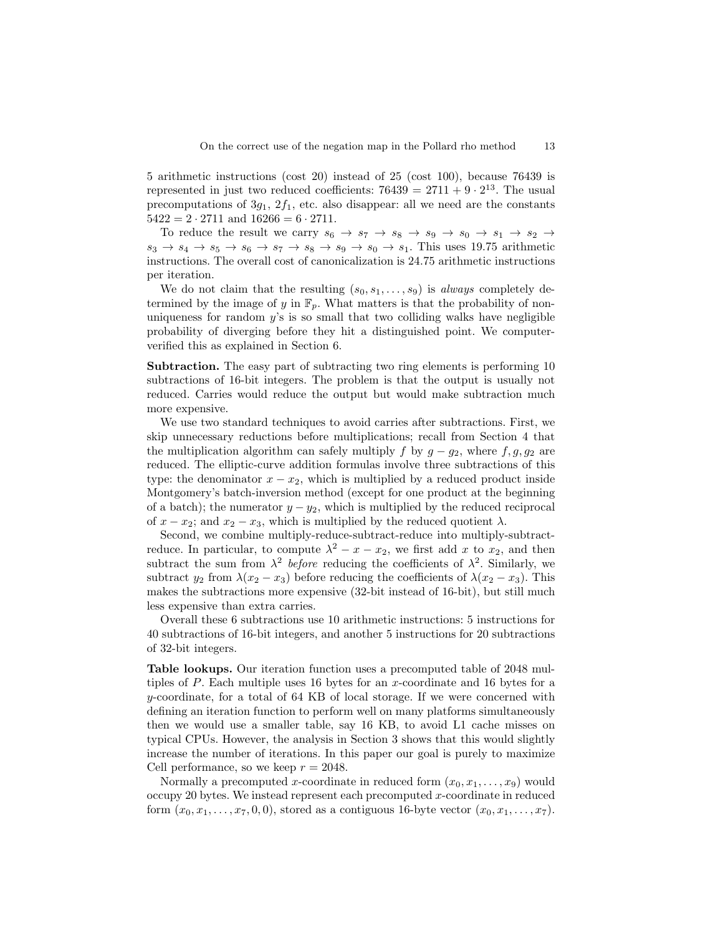5 arithmetic instructions (cost 20) instead of 25 (cost 100), because 76439 is represented in just two reduced coefficients:  $76439 = 2711 + 9 \cdot 2^{13}$ . The usual precomputations of  $3g_1$ ,  $2f_1$ , etc. also disappear: all we need are the constants  $5422 = 2 \cdot 2711$  and  $16266 = 6 \cdot 2711$ .

To reduce the result we carry  $s_6 \rightarrow s_7 \rightarrow s_8 \rightarrow s_9 \rightarrow s_0 \rightarrow s_1 \rightarrow s_2 \rightarrow$  $s_3 \rightarrow s_4 \rightarrow s_5 \rightarrow s_6 \rightarrow s_7 \rightarrow s_8 \rightarrow s_9 \rightarrow s_0 \rightarrow s_1$ . This uses 19.75 arithmetic instructions. The overall cost of canonicalization is 24.75 arithmetic instructions per iteration.

We do not claim that the resulting  $(s_0, s_1, \ldots, s_9)$  is *always* completely determined by the image of y in  $\mathbb{F}_p$ . What matters is that the probability of nonuniqueness for random  $y$ 's is so small that two colliding walks have negligible probability of diverging before they hit a distinguished point. We computerverified this as explained in Section 6.

Subtraction. The easy part of subtracting two ring elements is performing 10 subtractions of 16-bit integers. The problem is that the output is usually not reduced. Carries would reduce the output but would make subtraction much more expensive.

We use two standard techniques to avoid carries after subtractions. First, we skip unnecessary reductions before multiplications; recall from Section 4 that the multiplication algorithm can safely multiply f by  $g - g_2$ , where f, g, g<sub>2</sub> are reduced. The elliptic-curve addition formulas involve three subtractions of this type: the denominator  $x - x_2$ , which is multiplied by a reduced product inside Montgomery's batch-inversion method (except for one product at the beginning of a batch); the numerator  $y - y_2$ , which is multiplied by the reduced reciprocal of  $x - x_2$ ; and  $x_2 - x_3$ , which is multiplied by the reduced quotient  $\lambda$ .

Second, we combine multiply-reduce-subtract-reduce into multiply-subtractreduce. In particular, to compute  $\lambda^2 - x - x_2$ , we first add x to  $x_2$ , and then subtract the sum from  $\lambda^2$  before reducing the coefficients of  $\lambda^2$ . Similarly, we subtract  $y_2$  from  $\lambda(x_2 - x_3)$  before reducing the coefficients of  $\lambda(x_2 - x_3)$ . This makes the subtractions more expensive (32-bit instead of 16-bit), but still much less expensive than extra carries.

Overall these 6 subtractions use 10 arithmetic instructions: 5 instructions for 40 subtractions of 16-bit integers, and another 5 instructions for 20 subtractions of 32-bit integers.

Table lookups. Our iteration function uses a precomputed table of 2048 multiples of  $P$ . Each multiple uses 16 bytes for an  $x$ -coordinate and 16 bytes for a  $y$ -coordinate, for a total of 64 KB of local storage. If we were concerned with defining an iteration function to perform well on many platforms simultaneously then we would use a smaller table, say 16 KB, to avoid L1 cache misses on typical CPUs. However, the analysis in Section 3 shows that this would slightly increase the number of iterations. In this paper our goal is purely to maximize Cell performance, so we keep  $r = 2048$ .

Normally a precomputed x-coordinate in reduced form  $(x_0, x_1, \ldots, x_9)$  would occupy 20 bytes. We instead represent each precomputed  $x$ -coordinate in reduced form  $(x_0, x_1, \ldots, x_7, 0, 0)$ , stored as a contiguous 16-byte vector  $(x_0, x_1, \ldots, x_7)$ .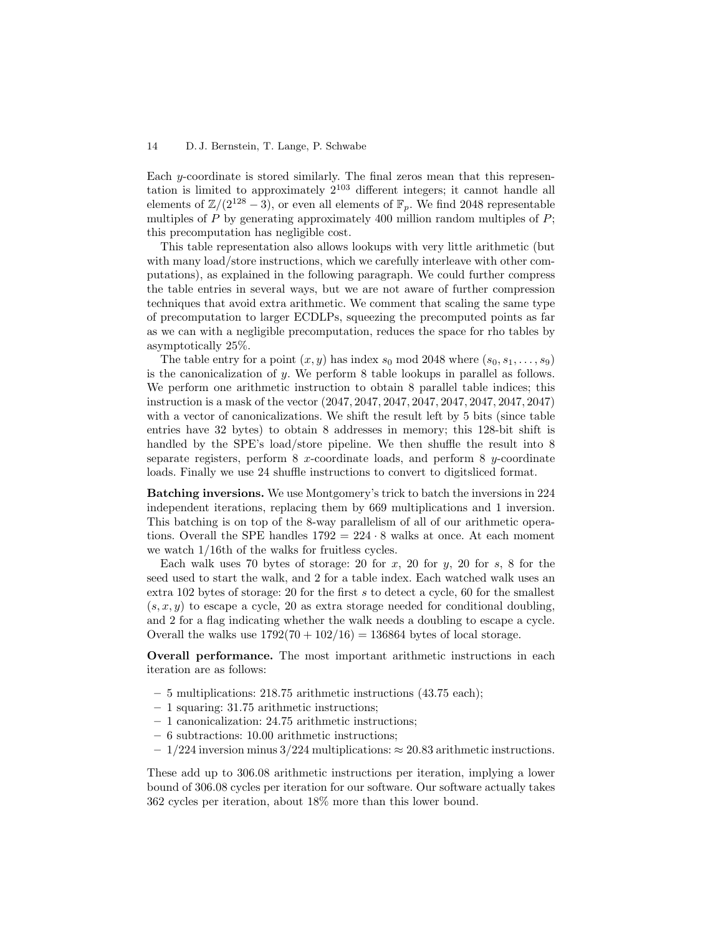Each y-coordinate is stored similarly. The final zeros mean that this representation is limited to approximately  $2^{103}$  different integers; it cannot handle all elements of  $\mathbb{Z}/(2^{128}-3)$ , or even all elements of  $\mathbb{F}_p$ . We find 2048 representable multiples of  $P$  by generating approximately 400 million random multiples of  $P$ ; this precomputation has negligible cost.

This table representation also allows lookups with very little arithmetic (but with many load/store instructions, which we carefully interleave with other computations), as explained in the following paragraph. We could further compress the table entries in several ways, but we are not aware of further compression techniques that avoid extra arithmetic. We comment that scaling the same type of precomputation to larger ECDLPs, squeezing the precomputed points as far as we can with a negligible precomputation, reduces the space for rho tables by asymptotically 25%.

The table entry for a point  $(x, y)$  has index  $s_0 \text{ mod } 2048$  where  $(s_0, s_1, \ldots, s_9)$ is the canonicalization of  $y$ . We perform 8 table lookups in parallel as follows. We perform one arithmetic instruction to obtain 8 parallel table indices; this instruction is a mask of the vector (2047, 2047, 2047, 2047, 2047, 2047, 2047, 2047) with a vector of canonicalizations. We shift the result left by 5 bits (since table entries have 32 bytes) to obtain 8 addresses in memory; this 128-bit shift is handled by the SPE's load/store pipeline. We then shuffle the result into 8 separate registers, perform  $8 \text{ x-coordinate loads}$ , and perform  $8 \text{ y-coordinate}$ loads. Finally we use 24 shuffle instructions to convert to digitsliced format.

Batching inversions. We use Montgomery's trick to batch the inversions in 224 independent iterations, replacing them by 669 multiplications and 1 inversion. This batching is on top of the 8-way parallelism of all of our arithmetic operations. Overall the SPE handles  $1792 = 224 \cdot 8$  walks at once. At each moment we watch 1/16th of the walks for fruitless cycles.

Each walk uses 70 bytes of storage: 20 for  $x$ , 20 for  $y$ , 20 for  $s$ , 8 for the seed used to start the walk, and 2 for a table index. Each watched walk uses an extra 102 bytes of storage: 20 for the first s to detect a cycle, 60 for the smallest  $(s, x, y)$  to escape a cycle, 20 as extra storage needed for conditional doubling, and 2 for a flag indicating whether the walk needs a doubling to escape a cycle. Overall the walks use  $1792(70 + 102/16) = 136864$  bytes of local storage.

Overall performance. The most important arithmetic instructions in each iteration are as follows:

- 5 multiplications: 218.75 arithmetic instructions (43.75 each);
- 1 squaring: 31.75 arithmetic instructions;
- 1 canonicalization: 24.75 arithmetic instructions;
- 6 subtractions: 10.00 arithmetic instructions;
- $-1/224$  inversion minus 3/224 multiplications:  $\approx 20.83$  arithmetic instructions.

These add up to 306.08 arithmetic instructions per iteration, implying a lower bound of 306.08 cycles per iteration for our software. Our software actually takes 362 cycles per iteration, about 18% more than this lower bound.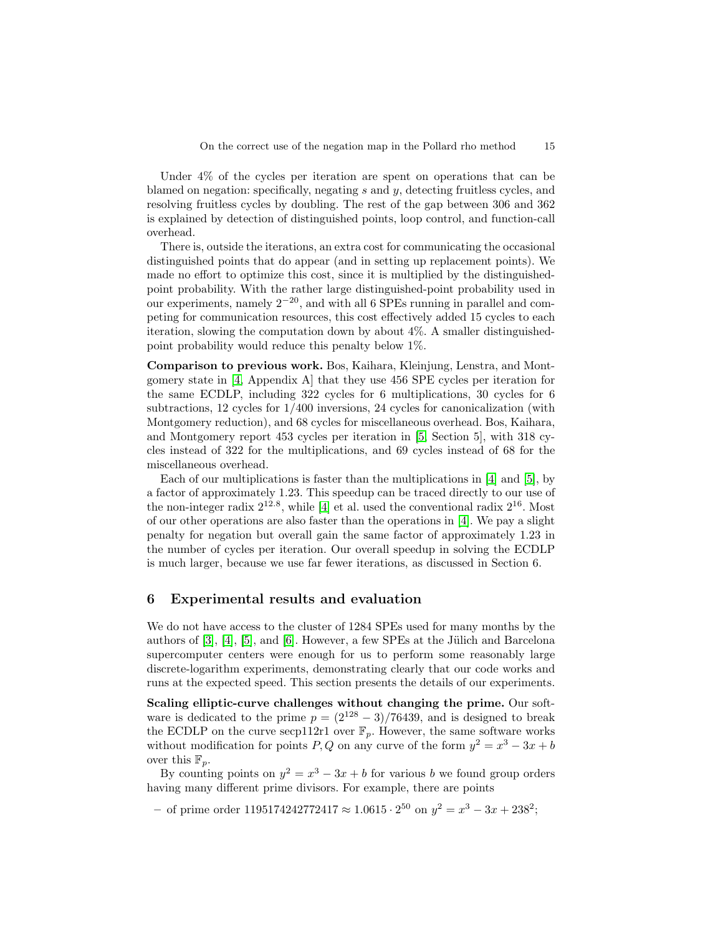Under 4% of the cycles per iteration are spent on operations that can be blamed on negation: specifically, negating s and y, detecting fruitless cycles, and resolving fruitless cycles by doubling. The rest of the gap between 306 and 362 is explained by detection of distinguished points, loop control, and function-call overhead.

There is, outside the iterations, an extra cost for communicating the occasional distinguished points that do appear (and in setting up replacement points). We made no effort to optimize this cost, since it is multiplied by the distinguishedpoint probability. With the rather large distinguished-point probability used in our experiments, namely  $2^{-20}$ , and with all 6 SPEs running in parallel and competing for communication resources, this cost effectively added 15 cycles to each iteration, slowing the computation down by about 4%. A smaller distinguishedpoint probability would reduce this penalty below 1%.

<span id="page-14-1"></span>Comparison to previous work. Bos, Kaihara, Kleinjung, Lenstra, and Montgomery state in [\[4,](#page-17-2) Appendix A] that they use 456 SPE cycles per iteration for the same ECDLP, including 322 cycles for 6 multiplications, 30 cycles for 6 subtractions, 12 cycles for  $1/400$  inversions, 24 cycles for canonicalization (with Montgomery reduction), and 68 cycles for miscellaneous overhead. Bos, Kaihara, and Montgomery report 453 cycles per iteration in [\[5,](#page-17-1) Section 5], with 318 cycles instead of 322 for the multiplications, and 69 cycles instead of 68 for the miscellaneous overhead.

<span id="page-14-7"></span><span id="page-14-6"></span><span id="page-14-4"></span><span id="page-14-3"></span><span id="page-14-2"></span>Each of our multiplications is faster than the multiplications in [\[4\]](#page-17-2) and [\[5\]](#page-17-1), by a factor of approximately 1.23. This speedup can be traced directly to our use of the non-integer radix  $2^{12.8}$ , while [\[4\]](#page-17-2) et al. used the conventional radix  $2^{16}$ . Most of our other operations are also faster than the operations in [\[4\]](#page-17-2). We pay a slight penalty for negation but overall gain the same factor of approximately 1.23 in the number of cycles per iteration. Our overall speedup in solving the ECDLP is much larger, because we use far fewer iterations, as discussed in Section 6.

## 6 Experimental results and evaluation

<span id="page-14-9"></span><span id="page-14-8"></span><span id="page-14-5"></span><span id="page-14-0"></span>We do not have access to the cluster of 1284 SPEs used for many months by the authors of  $[3], [4], [5],$  $[3], [4], [5],$  $[3], [4], [5],$  $[3], [4], [5],$  $[3], [4], [5],$  $[3], [4], [5],$  and  $[6]$ . However, a few SPEs at the Jülich and Barcelona supercomputer centers were enough for us to perform some reasonably large discrete-logarithm experiments, demonstrating clearly that our code works and runs at the expected speed. This section presents the details of our experiments.

Scaling elliptic-curve challenges without changing the prime. Our software is dedicated to the prime  $p = (2^{128} - 3)/76439$ , and is designed to break the ECDLP on the curve secp112r1 over  $\mathbb{F}_p$ . However, the same software works without modification for points P, Q on any curve of the form  $y^2 = x^3 - 3x + b$ over this  $\mathbb{F}_n$ .

By counting points on  $y^2 = x^3 - 3x + b$  for various b we found group orders having many different prime divisors. For example, there are points

- of prime order 1195174242772417 ≈ 1.0615 ·  $2^{50}$  on  $y^2 = x^3 - 3x + 238^2$ ;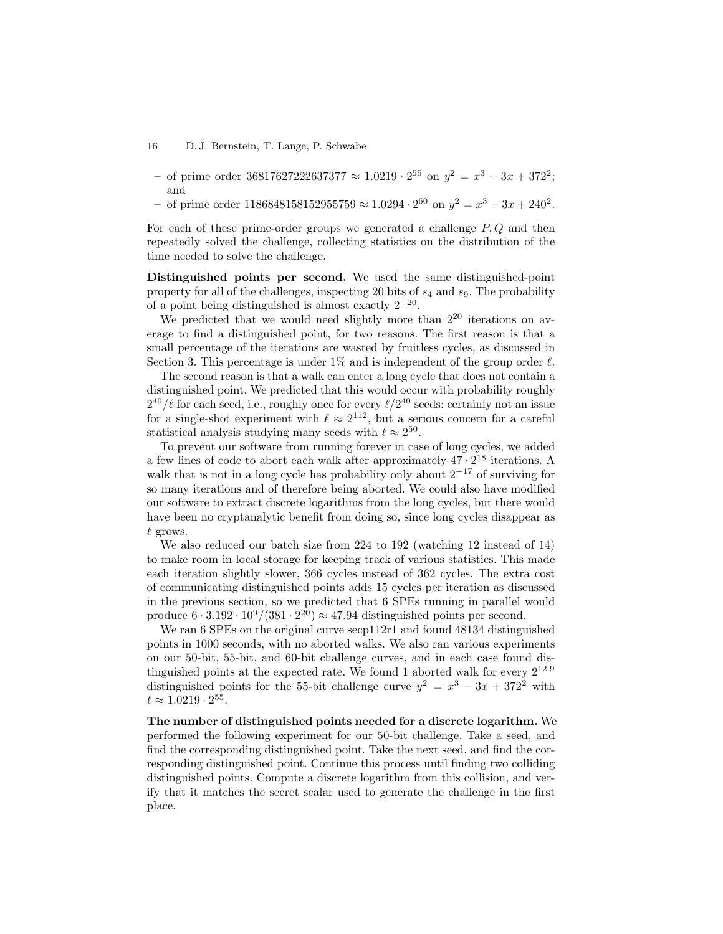- of prime order 36817627222637377 ≈ 1.0219 · 2<sup>55</sup> on  $y^2 = x^3 3x + 372^2$ ; and
- − of prime order 1186848158152955759 ≈ 1.0294 ·  $2^{60}$  on  $y^2 = x^3 3x + 240^2$ .

For each of these prime-order groups we generated a challenge  $P, Q$  and then repeatedly solved the challenge, collecting statistics on the distribution of the time needed to solve the challenge.

Distinguished points per second. We used the same distinguished-point property for all of the challenges, inspecting 20 bits of  $s_4$  and  $s_9$ . The probability of a point being distinguished is almost exactly  $2^{-20}$ .

We predicted that we would need slightly more than  $2^{20}$  iterations on average to find a distinguished point, for two reasons. The first reason is that a small percentage of the iterations are wasted by fruitless cycles, as discussed in Section 3. This percentage is under  $1\%$  and is independent of the group order  $\ell$ .

The second reason is that a walk can enter a long cycle that does not contain a distinguished point. We predicted that this would occur with probability roughly  $2^{40}/\ell$  for each seed, i.e., roughly once for every  $\ell/2^{40}$  seeds: certainly not an issue for a single-shot experiment with  $\ell \approx 2^{112}$ , but a serious concern for a careful statistical analysis studying many seeds with  $\ell \approx 2^{50}$ .

To prevent our software from running forever in case of long cycles, we added a few lines of code to abort each walk after approximately  $47 \cdot 2^{18}$  iterations. A walk that is not in a long cycle has probability only about  $2^{-17}$  of surviving for so many iterations and of therefore being aborted. We could also have modified our software to extract discrete logarithms from the long cycles, but there would have been no cryptanalytic benefit from doing so, since long cycles disappear as  $\ell$  grows.

We also reduced our batch size from 224 to 192 (watching 12 instead of 14) to make room in local storage for keeping track of various statistics. This made each iteration slightly slower, 366 cycles instead of 362 cycles. The extra cost of communicating distinguished points adds 15 cycles per iteration as discussed in the previous section, so we predicted that 6 SPEs running in parallel would produce  $6 \cdot 3.192 \cdot 10^9 / (381 \cdot 2^{20}) \approx 47.94$  distinguished points per second.

We ran 6 SPEs on the original curve secp112r1 and found 48134 distinguished points in 1000 seconds, with no aborted walks. We also ran various experiments on our 50-bit, 55-bit, and 60-bit challenge curves, and in each case found distinguished points at the expected rate. We found 1 aborted walk for every  $2^{12.9}$ distinguished points for the 55-bit challenge curve  $y^2 = x^3 - 3x + 372^2$  with  $\ell \approx 1.0219 \cdot 2^{55}$ .

The number of distinguished points needed for a discrete logarithm. We performed the following experiment for our 50-bit challenge. Take a seed, and find the corresponding distinguished point. Take the next seed, and find the corresponding distinguished point. Continue this process until finding two colliding distinguished points. Compute a discrete logarithm from this collision, and verify that it matches the secret scalar used to generate the challenge in the first place.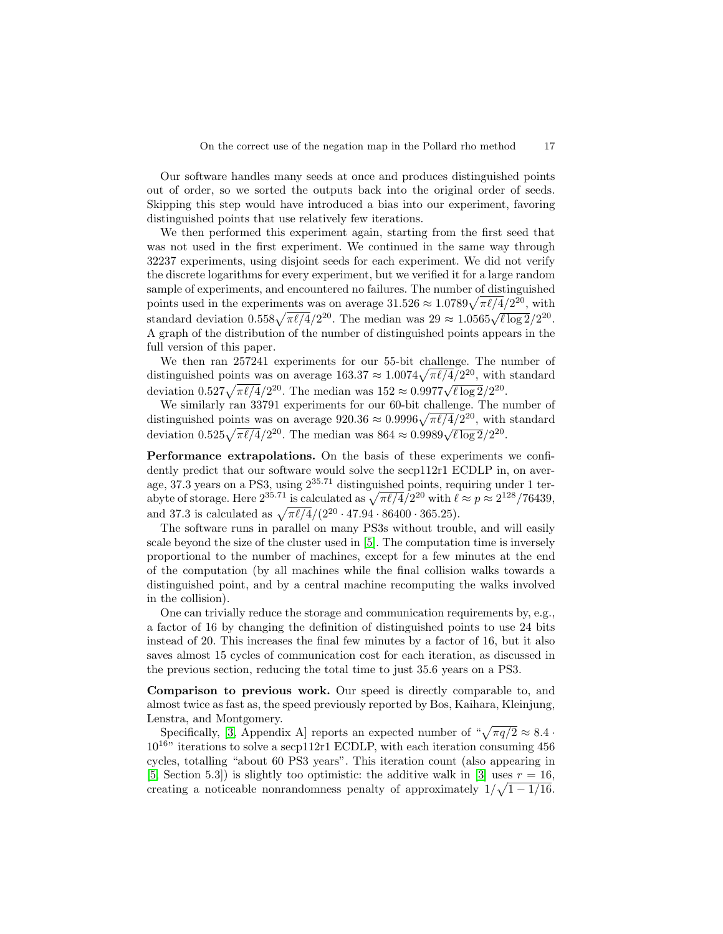Our software handles many seeds at once and produces distinguished points out of order, so we sorted the outputs back into the original order of seeds. Skipping this step would have introduced a bias into our experiment, favoring distinguished points that use relatively few iterations.

We then performed this experiment again, starting from the first seed that was not used in the first experiment. We continued in the same way through 32237 experiments, using disjoint seeds for each experiment. We did not verify the discrete logarithms for every experiment, but we verified it for a large random sample of experiments, and encountered no failures. The number of distinguished points used in the experiments was on average  $31.526 \approx 1.0789 \sqrt{\pi \ell / 4}/2^{20}$ , with standard deviation  $0.558\sqrt{\pi\ell/4}/2^{20}$ . The median was  $29 \approx 1.0565\sqrt{\ell \log 2}/2^{20}$ . A graph of the distribution of the number of distinguished points appears in the full version of this paper.

We then ran 257241 experiments for our 55-bit challenge. The number of distinguished points was on average  $163.37 \approx 1.0074 \sqrt{\pi l/4}/2^{20}$ , with standard deviation  $0.527\sqrt{\pi\ell/4}/2^{20}$ . The median was  $152 \approx 0.9977\sqrt{\ell \log 2}/2^{20}$ .

We similarly ran 33791 experiments for our 60-bit challenge. The number of distinguished points was on average  $920.36 \approx 0.9996\sqrt{\pi\ell/4}/2^{20}$ , with standard deviation  $0.525\sqrt{\pi\ell/4}/2^{20}$ . The median was  $864 \approx 0.9989\sqrt{\ell \log 2}/2^{20}$ .

Performance extrapolations. On the basis of these experiments we confidently predict that our software would solve the secp112r1 ECDLP in, on average, 37.3 years on a PS3, using  $2^{35.71}$  distinguished points, requiring under 1 terabyte of storage. Here  $2^{35.71}$  is calculated as  $\sqrt{\pi \ell/4}/2^{20}$  with  $\ell \approx p \approx 2^{128}/76439$ , and 37.3 is calculated as  $\sqrt{\pi \ell/4}/(2^{20} \cdot 47.94 \cdot 86400 \cdot 365.25)$ .

<span id="page-16-2"></span>The software runs in parallel on many PS3s without trouble, and will easily scale beyond the size of the cluster used in [\[5\]](#page-17-1). The computation time is inversely proportional to the number of machines, except for a few minutes at the end of the computation (by all machines while the final collision walks towards a distinguished point, and by a central machine recomputing the walks involved in the collision).

One can trivially reduce the storage and communication requirements by, e.g., a factor of 16 by changing the definition of distinguished points to use 24 bits instead of 20. This increases the final few minutes by a factor of 16, but it also saves almost 15 cycles of communication cost for each iteration, as discussed in the previous section, reducing the total time to just 35.6 years on a PS3.

Comparison to previous work. Our speed is directly comparable to, and almost twice as fast as, the speed previously reported by Bos, Kaihara, Kleinjung, Lenstra, and Montgomery.

<span id="page-16-3"></span><span id="page-16-1"></span><span id="page-16-0"></span>Specifically, [\[3,](#page-17-0) Appendix A] reports an expected number of " $\sqrt{\pi q/2} \approx 8.4$ .  $10^{16}$ " iterations to solve a secp112r1 ECDLP, with each iteration consuming 456 cycles, totalling "about 60 PS3 years". This iteration count (also appearing in [\[5,](#page-17-1) Section 5.3]) is slightly too optimistic: the additive walk in [\[3\]](#page-17-0) uses  $r = 16$ , creating a noticeable nonrandomness penalty of approximately  $1/\sqrt{1-1/16}$ .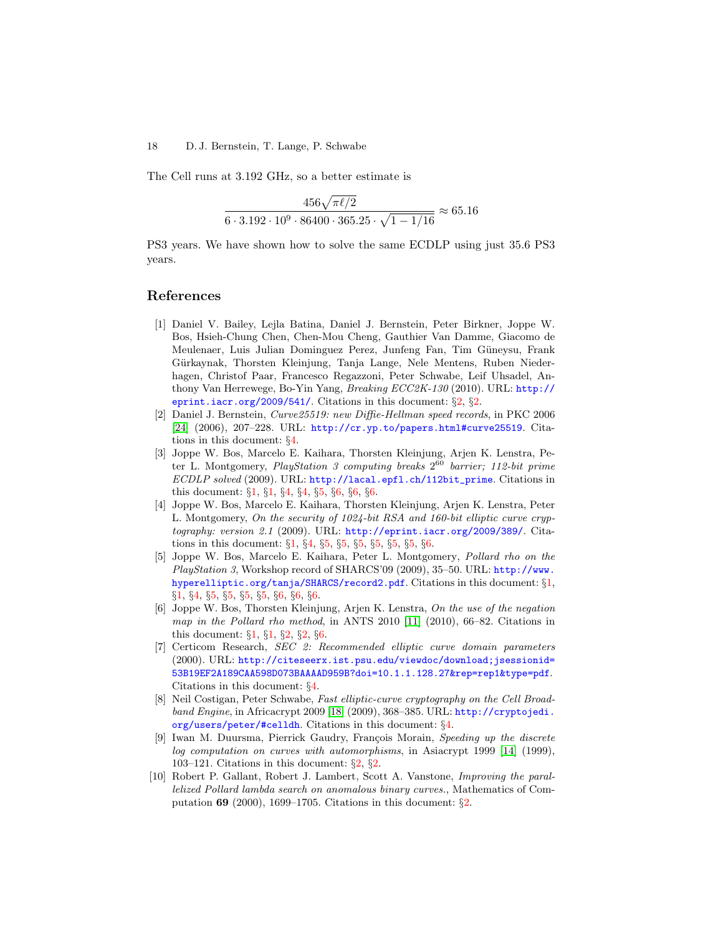The Cell runs at 3.192 GHz, so a better estimate is

$$
\frac{456\sqrt{\pi\ell/2}}{6\cdot 3.192\cdot 10^9\cdot 86400\cdot 365.25\cdot \sqrt{1-1/16}} \approx 65.16
$$

PS3 years. We have shown how to solve the same ECDLP using just 35.6 PS3 years.

#### References

- <span id="page-17-4"></span>[1] Daniel V. Bailey, Lejla Batina, Daniel J. Bernstein, Peter Birkner, Joppe W. Bos, Hsieh-Chung Chen, Chen-Mou Cheng, Gauthier Van Damme, Giacomo de Meulenaer, Luis Julian Dominguez Perez, Junfeng Fan, Tim Güneysu, Frank Gürkaynak, Thorsten Kleinjung, Tanja Lange, Nele Mentens, Ruben Niederhagen, Christof Paar, Francesco Regazzoni, Peter Schwabe, Leif Uhsadel, Anthony Van Herrewege, Bo-Yin Yang, Breaking ECC2K-130 (2010). URL: [http://](http://eprint.iacr.org/2009/541/) [eprint.iacr.org/2009/541/](http://eprint.iacr.org/2009/541/). Citations in this document:  $\S 2$ ,  $\S 2$ .
- <span id="page-17-13"></span><span id="page-17-8"></span>[2] Daniel J. Bernstein, Curve25519: new Diffie-Hellman speed records, in PKC 2006 [\[24\]](#page-18-8) (2006), 207–228. URL: <http://cr.yp.to/papers.html#curve25519>. Citations in this document: §[4.](#page-8-0)
- <span id="page-17-0"></span>[3] Joppe W. Bos, Marcelo E. Kaihara, Thorsten Kleinjung, Arjen K. Lenstra, Peter L. Montgomery, *PlayStation 3 computing breaks*  $2^{60}$  barrier; 112-bit prime ECDLP solved (2009). URL: [http://lacal.epfl.ch/112bit\\_prime](http://lacal.epfl.ch/112bit_prime). Citations in this document: §[1](#page-0-0), §[1,](#page-1-0) §[4](#page-7-0), §[4](#page-7-1), §[5,](#page-9-0) §[6](#page-14-0), §[6](#page-16-0), §[6.](#page-16-1)
- <span id="page-17-2"></span>[4] Joppe W. Bos, Marcelo E. Kaihara, Thorsten Kleinjung, Arjen K. Lenstra, Peter L. Montgomery, On the security of 1024-bit RSA and 160-bit elliptic curve cryptography: version 2.1 (2009). URL: <http://eprint.iacr.org/2009/389/>. Citations in this document: §[1,](#page-0-1) §[4](#page-7-2), §[5](#page-9-1), §[5,](#page-11-0) §[5](#page-14-1), §[5](#page-14-2), §[5,](#page-14-3) §[5](#page-14-4), §[6](#page-14-5).
- <span id="page-17-1"></span>Joppe W. Bos, Marcelo E. Kaihara, Peter L. Montgomery, Pollard rho on the PlayStation 3, Workshop record of SHARCS'09 (2009), 35-50. URL: [http://www.](http://www.hyperelliptic.org/tanja/SHARCS/record2.pdf) [hyperelliptic.org/tanja/SHARCS/record2.pdf](http://www.hyperelliptic.org/tanja/SHARCS/record2.pdf). Citations in this document: §[1,](#page-0-2) §[1](#page-1-1), §[4,](#page-7-3) §[5](#page-9-2), §[5](#page-11-1), §[5,](#page-14-6) §[5](#page-14-7), §[6](#page-14-8), §[6,](#page-16-2) §[6](#page-16-3).
- <span id="page-17-10"></span><span id="page-17-3"></span>[6] Joppe W. Bos, Thorsten Kleinjung, Arjen K. Lenstra, On the use of the negation map in the Pollard rho method, in ANTS 2010 [\[11\]](#page-18-9) (2010), 66–82. Citations in this document: §[1](#page-0-3), §[1,](#page-1-2) §[2](#page-4-0), §[2](#page-4-1), §[6.](#page-14-9)
- <span id="page-17-7"></span>[7] Certicom Research, SEC 2: Recommended elliptic curve domain parameters (2000). URL: [http://citeseerx.ist.psu.edu/viewdoc/download;jsessionid=](http://citeseerx.ist.psu.edu/viewdoc/download;jsessionid=53B19EF2A189CAA598D073BAAAAD959B?doi=10.1.1.128.27&rep=rep1&type=pdf) [53B19EF2A189CAA598D073BAAAAD959B?doi=10.1.1.128.27&rep=rep1&type=pdf](http://citeseerx.ist.psu.edu/viewdoc/download;jsessionid=53B19EF2A189CAA598D073BAAAAD959B?doi=10.1.1.128.27&rep=rep1&type=pdf). Citations in this document: §[4](#page-7-4).
- <span id="page-17-12"></span><span id="page-17-9"></span>[8] Neil Costigan, Peter Schwabe, Fast elliptic-curve cryptography on the Cell Broadband Engine, in Africacrypt 2009 [\[18\]](#page-18-10) (2009), 368–385. URL: [http://cryptojedi.](http://cryptojedi.org/users/peter/#celldh) [org/users/peter/#celldh](http://cryptojedi.org/users/peter/#celldh). Citations in this document: §[4](#page-8-1).
- <span id="page-17-11"></span><span id="page-17-5"></span>[9] Iwan M. Duursma, Pierrick Gaudry, François Morain, Speeding up the discrete log computation on curves with automorphisms, in Asiacrypt 1999 [\[14\]](#page-18-11) (1999), 103–121. Citations in this document: §[2](#page-4-2), §[2](#page-4-3).
- <span id="page-17-6"></span>[10] Robert P. Gallant, Robert J. Lambert, Scott A. Vanstone, *Improving the paral*lelized Pollard lambda search on anomalous binary curves., Mathematics of Computation 69 (2000), 1699–1705. Citations in this document:  $\S2$ .